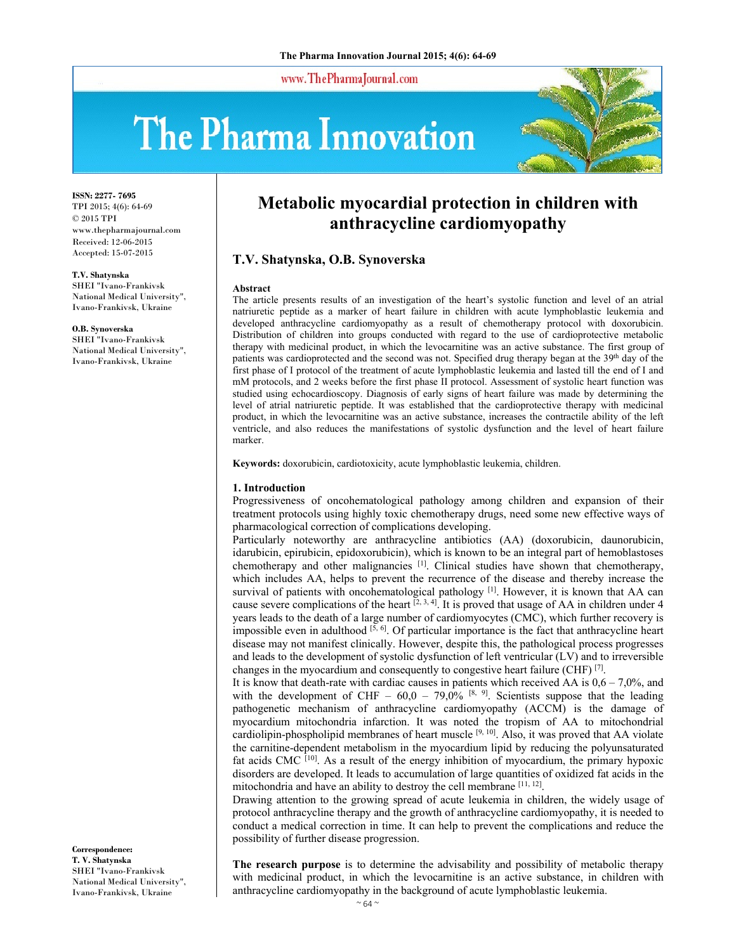www.ThePharmaJournal.com

# The Pharma Innovation



**ISSN: 2277- 7695** TPI 2015; 4(6): 64-69 © 2015 TPI www.thepharmajournal.com Received: 12-06-2015 Accepted: 15-07-2015

**T.V. Shatynska**  SHEI "Ivano-Frankivsk

National Medical University", Ivano-Frankivsk, Ukraine

**O.B. Synoverska**  SHEI "Ivano-Frankivsk National Medical University", Ivano-Frankivsk, Ukraine

**Correspondence: T. V. Shatynska**  SHEI "Ivano-Frankivsk National Medical University", Ivano-Frankivsk, Ukraine

# **Metabolic myocardial protection in children with anthracycline cardiomyopathy**

# **T.V. Shatynska, O.B. Synoverska**

#### **Abstract**

The article presents results of an investigation of the heart's systolic function and level of an atrial natriuretic peptide as a marker of heart failure in children with acute lymphoblastic leukemia and developed anthracycline cardiomyopathy as a result of chemotherapy protocol with doxorubicin. Distribution of children into groups conducted with regard to the use of cardioprotective metabolic therapy with medicinal product, in which the levocarnitine was an active substance. The first group of patients was cardioprotected and the second was not. Specified drug therapy began at the 39<sup>th</sup> day of the first phase of I protocol of the treatment of acute lymphoblastic leukemia and lasted till the end of I and mM protocols, and 2 weeks before the first phase II protocol. Assessment of systolic heart function was studied using echocardioscopy. Diagnosis of early signs of heart failure was made by determining the level of atrial natriuretic peptide. It was established that the cardioprotective therapy with medicinal product, in which the levocarnitine was an active substance, increases the contractile ability of the left ventricle, and also reduces the manifestations of systolic dysfunction and the level of heart failure marker.

**Keywords:** doxorubicin, cardiotoxicity, acute lymphoblastic leukemia, children.

#### **1. Introduction**

Progressiveness of oncohematological pathology among children and expansion of their treatment protocols using highly toxic chemotherapy drugs, need some new effective ways of pharmacological correction of complications developing.

Particularly noteworthy are anthracycline antibiotics (AA) (doxorubicin, daunorubicin, idarubicin, epirubicin, epidoxorubicin), which is known to be an integral part of hemoblastoses chemotherapy and other malignancies  $\begin{bmatrix} 1 \end{bmatrix}$ . Clinical studies have shown that chemotherapy, which includes AA, helps to prevent the recurrence of the disease and thereby increase the survival of patients with oncohematological pathology [1]. However, it is known that AA can cause severe complications of the heart  $\left[2, 3, 4\right]$ . It is proved that usage of AA in children under 4 years leads to the death of a large number of cardiomyocytes (CMC), which further recovery is impossible even in adulthood  $\left[5, 6\right]$ . Of particular importance is the fact that anthracycline heart disease may not manifest clinically. However, despite this, the pathological process progresses and leads to the development of systolic dysfunction of left ventricular (LV) and to irreversible changes in the myocardium and consequently to congestive heart failure (CHF) <sup>[7]</sup>.

It is know that death-rate with cardiac causes in patients which received AA is  $0.6 - 7.0\%$ , and with the development of CHF –  $60,0 - 79,0\%$  [8, 9]. Scientists suppose that the leading pathogenetic mechanism of anthracycline cardiomyopathy (ACCM) is the damage of myocardium mitochondria infarction. It was noted the tropism of AA to mitochondrial cardiolipin-phospholipid membranes of heart muscle  $[9, 10]$ . Also, it was proved that AA violate the carnitine-dependent metabolism in the myocardium lipid by reducing the polyunsaturated fat acids CMC  $[10]$ . As a result of the energy inhibition of myocardium, the primary hypoxic disorders are developed. It leads to accumulation of large quantities of oxidized fat acids in the mitochondria and have an ability to destroy the cell membrane [11, 12].

Drawing attention to the growing spread of acute leukemia in children, the widely usage of protocol anthracycline therapy and the growth of anthracycline cardiomyopathy, it is needed to conduct a medical correction in time. It can help to prevent the complications and reduce the possibility of further disease progression.

**The research purpose** is to determine the advisability and possibility of metabolic therapy with medicinal product, in which the levocarnitine is an active substance, in children with anthracycline cardiomyopathy in the background of acute lymphoblastic leukemia.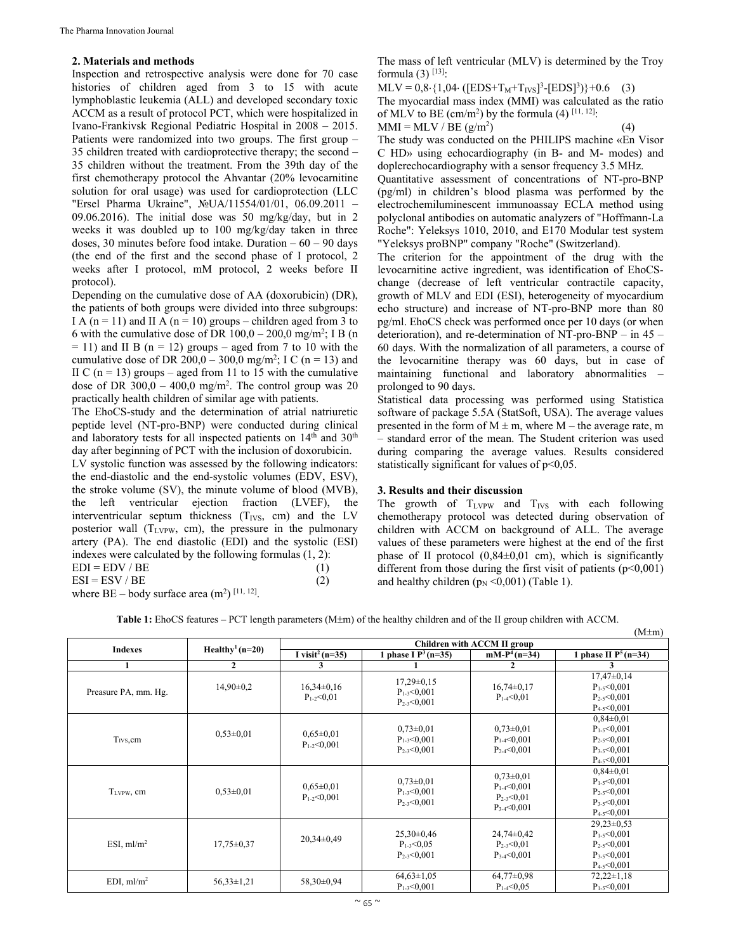#### **2. Materials and methods**

Inspection and retrospective analysis were done for 70 case histories of children aged from 3 to 15 with acute lymphoblastic leukemia (ALL) and developed secondary toxic ACCM as a result of protocol PCT, which were hospitalized in Ivano-Frankivsk Regional Pediatric Hospital in 2008 – 2015. Patients were randomized into two groups. The first group – 35 children treated with cardioprotective therapy; the second – 35 children without the treatment. From the 39th day of the first chemotherapy protocol the Ahvantar (20% levocarnitine solution for oral usage) was used for cardioprotection (LLC "Ersel Pharma Ukraine", №UA/11554/01/01, 06.09.2011 – 09.06.2016). The initial dose was 50 mg/kg/day, but in 2 weeks it was doubled up to 100 mg/kg/day taken in three doses, 30 minutes before food intake. Duration  $-60 - 90$  days (the end of the first and the second phase of I protocol, 2 weeks after I protocol, mM protocol, 2 weeks before II protocol).

Depending on the cumulative dose of AA (doxorubicin) (DR), the patients of both groups were divided into three subgroups: I A (n = 11) and II A (n = 10) groups – children aged from 3 to 6 with the cumulative dose of DR  $100,0 - 200,0$  mg/m<sup>2</sup>; I B (n)  $= 11$ ) and II B (n  $= 12$ ) groups – aged from 7 to 10 with the cumulative dose of DR 200,0 – 300,0 mg/m<sup>2</sup>; I C (n = 13) and II C ( $n = 13$ ) groups – aged from 11 to 15 with the cumulative dose of DR  $300,0 - 400,0$  mg/m<sup>2</sup>. The control group was 20 practically health children of similar age with patients.

The EhoСS-study and the determination of atrial natriuretic peptide level (NT-pro-BNP) were conducted during clinical and laboratory tests for all inspected patients on  $14<sup>th</sup>$  and  $30<sup>th</sup>$ day after beginning of PCT with the inclusion of doxorubicin.

LV systolic function was assessed by the following indicators: the end-diastolic and the end-systolic volumes (EDV, ESV), the stroke volume (SV), the minute volume of blood (MVB), the left ventricular ejection fraction (LVEF), the interventricular septum thickness  $(T_{IVS}, cm)$  and the LV posterior wall  $(T_{LVPW}, cm)$ , the pressure in the pulmonary artery (PA). The end diastolic (EDI) and the systolic (ESI) indexes were calculated by the following formulas (1, 2):  $EDI = EDV / BE$  (1)  $ESI = ESV / BE$  (2)

where  $BE - body$  surface area  $(m^2)$  [11, 12].

The mass of left ventricular (MLV) is determined by the Troy formula  $(3)$  [13]:

 $MLV = 0.8 \cdot \{1.04 \cdot ([EDS + T_M + T_{IVS}]^3 - [EDS]^3)\} + 0.6$  (3)

The myocardial mass index (MMI) was calculated as the ratio of MLV to BE  $\text{(cm/m}^2\text{)}$  by the formula (4)  $^{[11, 12]}$ :  $MMI = ML$  $(4)$ 

$$
N \,/\, \mathrm{BE} \; (\mathrm{g/m^2})
$$

The study was conducted on the PHILIPS machine «En Visor C HD» using echocardiography (in B- and M- modes) and doplereсhocardiography with a sensor frequency 3.5 MHz.

Quantitative assessment of concentrations of NT-pro-BNP (pg/ml) in children's blood plasma was performed by the electrochemiluminescent immunoassay ECLA method using polyclonal antibodies on automatic analyzers of "Hoffmann-La Roche": Yeleksys 1010, 2010, and E170 Modular test system "Yeleksys proBNP" company "Roche" (Switzerland).

The criterion for the appointment of the drug with the levocarnitine active ingredient, was identification of EhoСSchange (decrease of left ventricular contractile capacity, growth of MLV and EDI (ESI), heterogeneity of myocardium echo structure) and increase of NT-pro-BNP more than 80 pg/ml. EhoСS check was performed once per 10 days (or when deterioration), and re-determination of NT-pro-BNP – in 45 – 60 days. With the normalization of all parameters, a course of the levocarnitine therapy was 60 days, but in case of maintaining functional and laboratory abnormalities – prolonged to 90 days.

Statistical data processing was performed using Statistica software of package 5.5A (StatSoft, USA). The average values presented in the form of  $M \pm m$ , where  $M -$  the average rate, m – standard error of the mean. The Student criterion was used during comparing the average values. Results considered statistically significant for values of  $p<0.05$ .

#### **3. Results and their discussion**

The growth of  $T_{LVPW}$  and  $T_{IVS}$  with each following chemotherapy protocol was detected during observation of children with ACCM on background of ALL. The average values of these parameters were highest at the end of the first phase of II protocol  $(0,84\pm0,01)$  cm), which is significantly different from those during the first visit of patients  $(p<0,001)$ and healthy children  $(p_N < 0.001)$  (Table 1).

 $(A \cup A)$ 

Table 1: EhoCS features – PCT length parameters (M±m) of the healthy children and of the II group children with ACCM.

|                        |                             |                                      |                                                           |                                                                             | (IVI±III)                                                                                          |  |  |
|------------------------|-----------------------------|--------------------------------------|-----------------------------------------------------------|-----------------------------------------------------------------------------|----------------------------------------------------------------------------------------------------|--|--|
| <b>Indexes</b>         | Healthy <sup>1</sup> (n=20) | Children with ACCM II group          |                                                           |                                                                             |                                                                                                    |  |  |
|                        |                             | I visit <sup>2</sup> ( $n=35$ )      | 1 phase I $P^3(n=35)$                                     | $mM-P^4(n=34)$                                                              | 1 phase II $P^5(n=34)$                                                                             |  |  |
|                        | 2                           | 3                                    |                                                           | 2                                                                           | 3                                                                                                  |  |  |
| Preasure PA, mm. Hg.   | $14,90\pm0.2$               | $16,34\pm0,16$<br>$P_{1-2} < 0.01$   | $17,29\pm0,15$<br>$P_{1-3} < 0,001$<br>$P_{2-3} < 0.001$  | $16,74\pm0,17$<br>$P_{1.4} < 0.01$                                          | $17,47\pm0,14$<br>$P_{1.5} < 0.001$<br>$P_{2-5} < 0.001$<br>$P_{4-5} < 0.001$                      |  |  |
| $T_{IVS}$ , cm         | $0.53 \pm 0.01$             | $0,65\pm0,01$<br>$P_{1-2} < 0,001$   | $0,73\pm0,01$<br>$P_{1-3} < 0.001$<br>$P_{2-3} < 0.001$   | $0.73 \pm 0.01$<br>$P_{1-4} < 0.001$<br>$P_{2-4} < 0.001$                   | $0,84\pm0.01$<br>$P_{1-5} < 0,001$<br>$P_{2-5} < 0.001$<br>$P_{3-5} < 0.001$<br>$P_{4-5} < 0.001$  |  |  |
| T <sub>LVPW</sub> , cm | $0.53 \pm 0.01$             | $0,65 \pm 0,01$<br>$P_{1-2} < 0.001$ | $0.73 \pm 0.01$<br>$P_{1-3} < 0.001$<br>$P_{2-3} < 0.001$ | $0,73\pm0,01$<br>$P_{1.4} < 0.001$<br>$P_{2-3} < 0.01$<br>$P_{3-4} < 0.001$ | $0,84\pm0.01$<br>$P_{1-5} < 0.001$<br>$P_{2-5} < 0.001$<br>$P_{3-5} < 0.001$<br>$P_{4-5} < 0.001$  |  |  |
| ESI, $ml/m2$           | $17,75 \pm 0.37$            | $20.34 \pm 0.49$                     | $25,30\pm0,46$<br>$P_{1-3} < 0.05$<br>$P_{2-3} < 0.001$   | $24,74\pm0.42$<br>$P_{2-3} < 0.01$<br>$P_{3.4} < 0.001$                     | $29,23\pm0,53$<br>$P_{1-5} < 0.001$<br>$P_{2-5} < 0,001$<br>$P_{3.5} < 0.001$<br>$P_{4-5} < 0,001$ |  |  |
| EDI, $ml/m2$           | $56,33 \pm 1,21$            | $58,30\pm0.94$                       | $64,63 \pm 1,05$<br>$P_{1-3} < 0,001$                     | $64,77\pm0.98$<br>$P_{1.4} < 0.05$                                          | $72,22 \pm 1,18$<br>$P_{1-5} < 0,001$                                                              |  |  |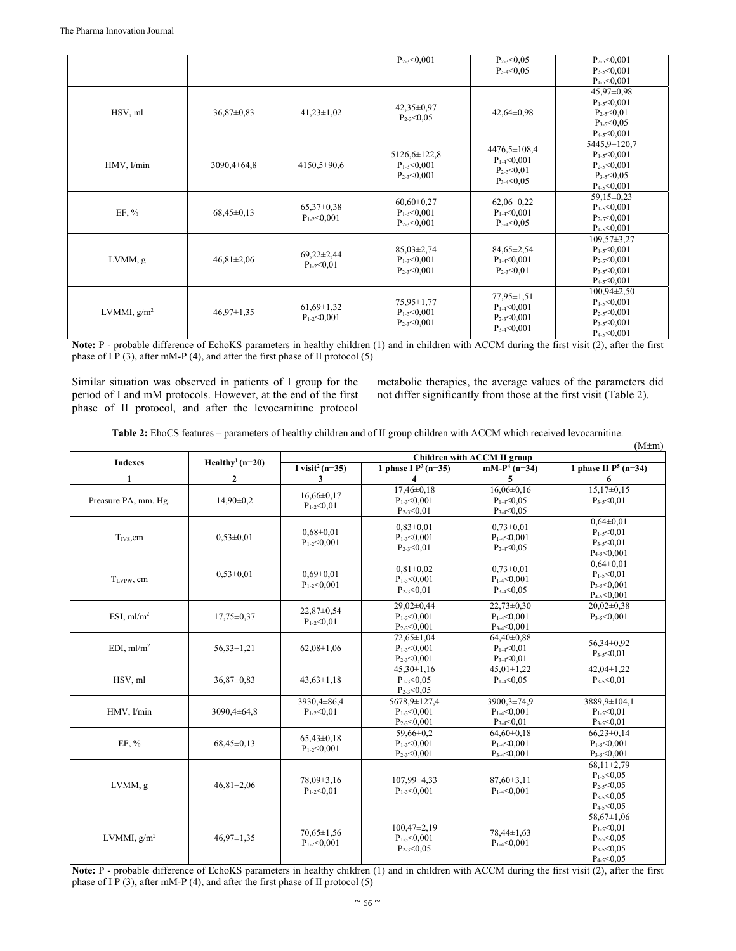|               |                  |                                     | $P_{2-3} < 0,001$                                          | $P_{2-3} < 0.05$                                          | $P_{2-5} < 0,001$ |
|---------------|------------------|-------------------------------------|------------------------------------------------------------|-----------------------------------------------------------|-------------------|
|               |                  |                                     |                                                            | $P_{3-4} < 0.05$                                          | $P_{3-5} < 0.001$ |
|               |                  |                                     |                                                            |                                                           | $P_{4-5} < 0,001$ |
|               |                  |                                     |                                                            |                                                           | $45,97 \pm 0,98$  |
|               |                  |                                     | 42,35±0,97                                                 |                                                           | $P_{1-5} < 0,001$ |
| HSV, ml       | $36,87\pm0.83$   | $41,23 \pm 1,02$                    | $P_{2-3} < 0.05$                                           | $42,64\pm0.98$                                            | $P_{2-5} < 0.01$  |
|               |                  |                                     |                                                            |                                                           | $P_{3-5} < 0.05$  |
|               |                  |                                     |                                                            |                                                           | $P_{4-5} < 0.001$ |
|               |                  |                                     |                                                            | $4476,5 \pm 108,4$                                        | 5445,9±120,7      |
|               |                  | $4150,5 \pm 90,6$                   | $5126,6 \pm 122,8$                                         | $P_{1-4} < 0.001$<br>$P_{2-3} < 0.01$<br>$P_{3.4} < 0.05$ | $P_{1-5} < 0.001$ |
| HMV, l/min    | $3090,4\pm 64,8$ |                                     | $P_{1-3} < 0.001$<br>$P_{2-3} < 0,001$                     |                                                           | $P_{2-5} < 0,001$ |
|               |                  |                                     |                                                            |                                                           | $P_{3-5} < 0.05$  |
|               |                  |                                     |                                                            |                                                           | $P_{4-5} < 0.001$ |
|               | $68,45\pm0,13$   | $65,37\pm0,38$<br>$P_{1-2} < 0,001$ | $60,60 \pm 0,27$<br>$P_{1-3} < 0.001$<br>$P_{2-3} < 0.001$ | $62,06\pm0,22$<br>$P_{1.4} < 0.001$<br>$P_{3-4} < 0.05$   | $59,15\pm0.23$    |
| EF, %         |                  |                                     |                                                            |                                                           | $P_{1-5} < 0,001$ |
|               |                  |                                     |                                                            |                                                           | $P_{2-5} < 0,001$ |
|               |                  |                                     |                                                            |                                                           | $P_{4-5} < 0,001$ |
|               |                  |                                     |                                                            |                                                           | $109,57\pm3,27$   |
|               |                  | $69,22 \pm 2,44$                    | $85,03\pm2,74$                                             | $84,65 \pm 2,54$                                          | $P_{1-5} < 0,001$ |
| LVMM, g       | $46,81 \pm 2,06$ | $P_{1-2} < 0.01$                    | $P_{1-3} < 0.001$                                          | $P_{1-4} < 0.001$                                         | $P_{2-5} < 0,001$ |
|               |                  |                                     | $P_{2-3} < 0.001$                                          | $P_{2-3} < 0.01$                                          | $P_{3-5} < 0.001$ |
|               |                  |                                     |                                                            |                                                           | $P_{4-5} < 0,001$ |
|               |                  | $61,69\pm1,32$<br>$P_{1-2} < 0.001$ |                                                            | $77.95 \pm 1.51$                                          | $100,94\pm2,50$   |
| LVMMI, $g/m2$ | $46,97 \pm 1,35$ |                                     | 75,95±1,77                                                 | $P_{1-4} < 0.001$                                         | $P_{1-5} < 0.001$ |
|               |                  |                                     | $P_{1-3} < 0,001$<br>$P_{2-3} < 0.001$                     | $P_{2-3} < 0.001$                                         | $P_{2-5} < 0,001$ |
|               |                  |                                     |                                                            | $P_{3-4} < 0,001$                                         | $P_{3-5} < 0.001$ |
|               |                  |                                     |                                                            |                                                           | $P_{4-5} < 0.001$ |

**Note:** P - probable difference of EсhoKS parameters in healthy children (1) and in children with ACCM during the first visit (2), after the first phase of I P (3), after mM-P (4), and after the first phase of II protocol (5)

Similar situation was observed in patients of I group for the period of I and mM protocols. However, at the end of the first phase of II protocol, and after the levocarnitine protocol

metabolic therapies, the average values of the parameters did not differ significantly from those at the first visit (Table 2).

 $(2.6)$ 

|  |  |  |  | Table 2: EhoCS features – parameters of healthy children and of II group children with ACCM which received levocarnitine. |
|--|--|--|--|---------------------------------------------------------------------------------------------------------------------------|
|--|--|--|--|---------------------------------------------------------------------------------------------------------------------------|

|                      |                                 | $(M \pm m)$<br>Children with ACCM II group |                                                            |                                                          |                                                                                                  |  |  |
|----------------------|---------------------------------|--------------------------------------------|------------------------------------------------------------|----------------------------------------------------------|--------------------------------------------------------------------------------------------------|--|--|
| <b>Indexes</b>       | Healthy <sup>1</sup> ( $n=20$ ) | I visit <sup>2</sup> (n=35)                | 1 phase $\overline{I}$ P <sup>3</sup> (n=35)               | $mM-P^4$ (n=34)                                          | 1 phase II $P^5$ (n=34)                                                                          |  |  |
| 1                    | $\boldsymbol{2}$                | 3                                          | $\overline{\bf{4}}$                                        | 5                                                        | 6                                                                                                |  |  |
| Preasure PA, mm. Hg. | $14,90\pm0.2$                   | $16,66 \pm 0.17$<br>$P_{1-2} < 0.01$       | $17,46\pm0.18$<br>$P_{1-3} < 0.001$<br>$P_{2-3} < 0.01$    | $16,06\pm0,16$<br>$P_{1.4} < 0.05$<br>$P_{3.4} < 0.05$   | $15,17\pm0,15$<br>$P_{3.5} < 0.01$                                                               |  |  |
| $TIVS$ cm            | $0.53 \pm 0.01$                 | $0.68 \pm 0.01$<br>$P_{1-2} < 0.001$       | $0.83 \pm 0.01$<br>$P_{1-3} < 0.001$<br>$P_{2-3} < 0.01$   | $0,73\pm0.01$<br>$P_{1-4} < 0.001$<br>$P_{2-4} < 0.05$   | $0.64 \pm 0.01$<br>$P_{1-5} < 0.01$<br>$P_{3-5} < 0.01$<br>$P_{4-5} < 0.001$                     |  |  |
| TLVPW, cm            | $0.53 \pm 0.01$                 | $0.69 \pm 0.01$<br>$P_{1-2} < 0.001$       | $0.81 \pm 0.02$<br>$P_{1-3} < 0.001$<br>$P_{2-3} < 0.01$   | $0,73\pm0.01$<br>$P_{1-4} < 0.001$<br>$P_{3-4} < 0.05$   | $0.64 \pm 0.01$<br>$P_{1-5} < 0.01$<br>$P_{3.5} < 0.001$<br>$P_{4-5} < 0,001$                    |  |  |
| ESI, $ml/m2$         | $17,75 \pm 0.37$                | 22,87±0,54<br>$P_{1-2} < 0.01$             | 29,02±0,44<br>$P_{1-3} < 0.001$<br>$P_{2-3} < 0.001$       | $22,73\pm0.30$<br>$P_{1-4} < 0.001$<br>$P_{3-4} < 0,001$ | $20,02\pm0,38$<br>$P_{3-5} < 0.001$                                                              |  |  |
| EDI, $ml/m2$         | $56.33 \pm 1.21$                | $62,08\pm1,06$                             | $72,65 \pm 1,04$<br>$P_{1-3} < 0.001$<br>$P_{2-3} < 0,001$ | $64,40\pm0.88$<br>$P_{1.4} < 0.01$<br>$P_{3.4} < 0.01$   | $56,34\pm0.92$<br>$P_{3-5} < 0.01$                                                               |  |  |
| HSV, ml              | 36,87±0,83                      | $43.63 \pm 1.18$                           | $45,30 \pm 1,16$<br>$P_{1-3} < 0.05$<br>$P_{2-3} < 0.05$   | $45,01 \pm 1,22$<br>$P_{1-4} < 0.05$                     | $42,04\pm1,22$<br>$P_{3-5} < 0.01$                                                               |  |  |
| HMV, l/min           | $3090.4 \pm 64.8$               | 3930,4±86,4<br>$P_{1-2} < 0.01$            | 5678,9±127,4<br>$P_{1-3} < 0.001$<br>$P_{2-3} < 0,001$     | 3900,3±74,9<br>$P_{1.4} < 0.001$<br>$P_{3-4} < 0.01$     | 3889,9±104,1<br>$P_{1.5} < 0.01$<br>$P_{3-5} < 0.01$                                             |  |  |
| $EF, \%$             | $68,45\pm0,13$                  | $65.43 \pm 0.18$<br>$P_{1-2} < 0,001$      | 59,66±0,2<br>$P_{1-3} < 0.001$<br>$P_{2-3} < 0,001$        | $64,60\pm0,18$<br>$P_{1-4} < 0.001$<br>$P_{3-4} < 0,001$ | $66,23\pm0,14$<br>$P_{1-5} < 0.001$<br>$P_{3-5} < 0,001$                                         |  |  |
| LVMM, g              | $46,81 \pm 2,06$                | 78,09±3,16<br>$P_{1-2} < 0.01$             | 107,99±4,33<br>$P_{1-3} < 0.001$                           | $87,60\pm3,11$<br>$P_{1-4} < 0.001$                      | $68,11\pm2,79$<br>$P_{1-5} < 0.05$<br>$P_{2-5} < 0.05$<br>$P_{3-5} < 0.05$<br>$P_{4-5} < 0.05$   |  |  |
| LVMMI, $g/m2$        | $46.97 \pm 1.35$                | $70,65 \pm 1,56$<br>$P_{1-2} < 0.001$      | $100,47\pm2,19$<br>$P_{1-3} < 0.001$<br>$P_{2-3} < 0.05$   | $78,44 \pm 1,63$<br>$P_{1-4} < 0.001$                    | $58,67 \pm 1,06$<br>$P_{1-5} < 0.01$<br>$P_{2-5} < 0.05$<br>$P_{3-5} < 0.05$<br>$P_{4-5} < 0.05$ |  |  |

**Note:** P - probable difference of EсhoKS parameters in healthy children (1) and in children with ACCM during the first visit (2), after the first phase of I P (3), after mM-P (4), and after the first phase of II protocol (5)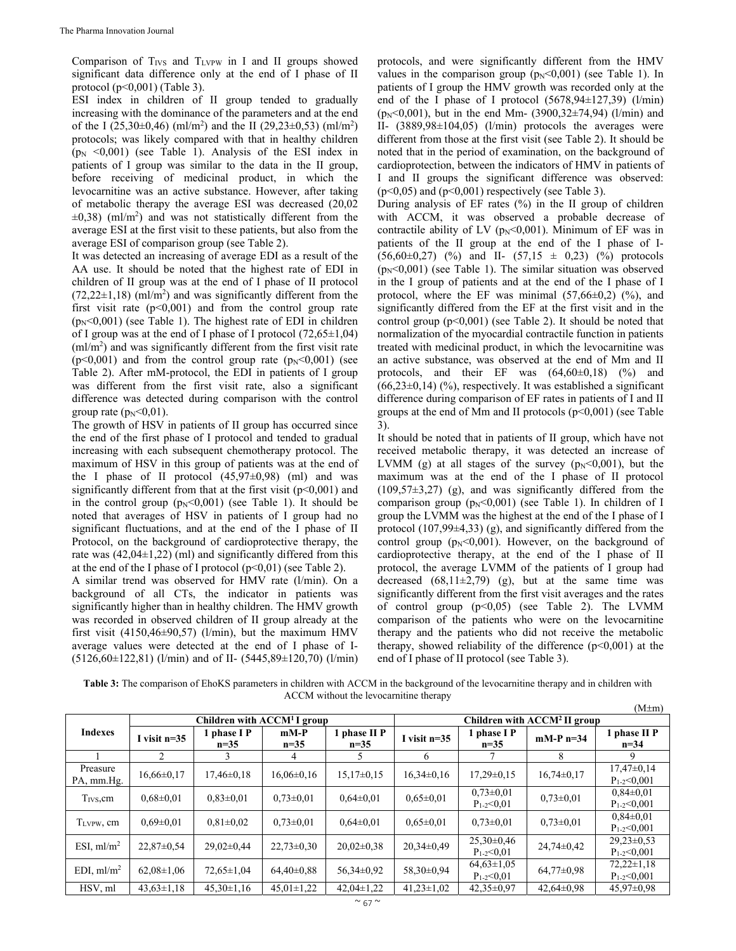Comparison of  $T_{IVS}$  and  $T_{LVPW}$  in I and II groups showed significant data difference only at the end of I phase of II protocol (p<0,001) (Table 3).

ESI index in children of II group tended to gradually increasing with the dominance of the parameters and at the end of the I  $(25,30\pm0,46)$  (ml/m<sup>2</sup>) and the II  $(29,23\pm0,53)$  (ml/m<sup>2</sup>) protocols; was likely compared with that in healthy children  $(p_N \le 0.001)$  (see Table 1). Analysis of the ESI index in patients of I group was similar to the data in the II group, before receiving of medicinal product, in which the levocarnitine was an active substance. However, after taking of metabolic therapy the average ESI was decreased (20,02  $\pm 0.38$ ) (ml/m<sup>2</sup>) and was not statistically different from the average ESI at the first visit to these patients, but also from the average ESI of comparison group (see Table 2).

It was detected an increasing of average EDI as a result of the AA use. It should be noted that the highest rate of EDI in children of II group was at the end of I phase of II protocol  $(72,22\pm1,18)$  (ml/m<sup>2</sup>) and was significantly different from the first visit rate  $(p<0,001)$  and from the control group rate  $(p_N<0.001)$  (see Table 1). The highest rate of EDI in children of I group was at the end of I phase of I protocol (72,65±1,04) (ml/m2 ) and was significantly different from the first visit rate  $(p<0,001)$  and from the control group rate  $(p<sub>N</sub><0,001)$  (see Table 2). After mM-protocol, the EDI in patients of I group was different from the first visit rate, also a significant difference was detected during comparison with the control group rate  $(p_N<0.01)$ .

The growth of HSV in patients of II group has occurred since the end of the first phase of I protocol and tended to gradual increasing with each subsequent chemotherapy protocol. The maximum of HSV in this group of patients was at the end of the I phase of II protocol  $(45,97\pm0,98)$  (ml) and was significantly different from that at the first visit  $(p<0,001)$  and in the control group  $(p_N<0,001)$  (see Table 1). It should be noted that averages of HSV in patients of I group had no significant fluctuations, and at the end of the I phase of II Protocol, on the background of cardioprotective therapy, the rate was  $(42,04\pm1,22)$  (ml) and significantly differed from this at the end of the I phase of I protocol  $(p<0,01)$  (see Table 2).

A similar trend was observed for HMV rate (l/min). On a background of all CTs, the indicator in patients was significantly higher than in healthy children. The HMV growth was recorded in observed children of II group already at the first visit (4150,46 $\pm$ 90,57) (l/min), but the maximum HMV average values were detected at the end of I phase of I- (5126,60±122,81) (l/min) and of II- (5445,89±120,70) (l/min) protocols, and were significantly different from the HMV values in the comparison group  $(p_N<0,001)$  (see Table 1). In patients of I group the HMV growth was recorded only at the end of the I phase of I protocol (5678,94±127,39) (l/min)  $(p_N<0,001)$ , but in the end Mm- (3900,32 $\pm$ 74,94) (l/min) and II- (3889,98±104,05) (l/min) protocols the averages were different from those at the first visit (see Table 2). It should be noted that in the period of examination, on the background of cardioprotection, between the indicators of HMV in patients of I and II groups the significant difference was observed:  $(p<0,05)$  and  $(p<0,001)$  respectively (see Table 3).

During analysis of EF rates (%) in the II group of children with ACCM, it was observed a probable decrease of contractile ability of LV ( $p_N$ <0,001). Minimum of EF was in patients of the II group at the end of the I phase of I-  $(56,60\pm0,27)$  (%) and II-  $(57,15 \pm 0,23)$  (%) protocols  $(p_N<0.001)$  (see Table 1). The similar situation was observed in the I group of patients and at the end of the I phase of I protocol, where the EF was minimal  $(57,66\pm0,2)$  (%), and significantly differed from the EF at the first visit and in the control group  $(p<0,001)$  (see Table 2). It should be noted that normalization of the myocardial contractile function in patients treated with medicinal product, in which the levocarnitine was an active substance, was observed at the end of Mm and II protocols, and their EF was  $(64, 60\pm0, 18)$  (%) and  $(66,23\pm0,14)$  (%), respectively. It was established a significant difference during comparison of EF rates in patients of I and II groups at the end of Mm and II protocols  $(p<0.001)$  (see Table 3).

It should be noted that in patients of II group, which have not received metabolic therapy, it was detected an increase of LVMM (g) at all stages of the survey  $(p_N<0,001)$ , but the maximum was at the end of the I phase of II protocol  $(109,57\pm3,27)$  (g), and was significantly differed from the comparison group  $(p_N<0,001)$  (see Table 1). In children of I group the LVMM was the highest at the end of the I phase of I protocol (107,99±4,33) (g), and significantly differed from the control group  $(p_N<0.001)$ . However, on the background of cardioprotective therapy, at the end of the I phase of II protocol, the average LVMM of the patients of I group had decreased  $(68,11\pm2,79)$  (g), but at the same time was significantly different from the first visit averages and the rates of control group  $(p<0.05)$  (see Table 2). The LVMM comparison of the patients who were on the levocarnitine therapy and the patients who did not receive the metabolic therapy, showed reliability of the difference  $(p<0,001)$  at the end of I phase of II protocol (see Table 3).

**Table 3:** The comparison of EhoKS parameters in children with ACCM in the background of the levocarnitine therapy and in children with ACCM without the levocarnitine therapy  $(M+m)$ 

|                        |                                         |                     |                  |                      |                                      |                                      |                  | $(IV1+III)$                           |  |
|------------------------|-----------------------------------------|---------------------|------------------|----------------------|--------------------------------------|--------------------------------------|------------------|---------------------------------------|--|
|                        | Children with $\mathrm{ACCM}^1$ I group |                     |                  |                      | Children with $\rm{ACCM}^2$ II group |                                      |                  |                                       |  |
| <b>Indexes</b>         | I visit $n=35$                          | phase I P<br>$n=35$ | $mM-P$<br>$n=35$ | phase II P<br>$n=35$ | I visit $n=35$                       | 1 phase I P<br>$n=35$                | $mM-P$ n=34      | 1 phase II P<br>$n = 34$              |  |
|                        |                                         |                     | 4                | 5                    | 6                                    |                                      | 8                | 9                                     |  |
| Preasure<br>PA, mm.Hg. | $16,66 \pm 0,17$                        | $17,46\pm0.18$      | $16,06\pm0,16$   | $15,17\pm0,15$       | $16,34\pm0.16$                       | 17,29±0,15                           | $16,74\pm0,17$   | $17,47\pm0,14$<br>$P_{1-2} < 0.001$   |  |
| $T_{IVS, \text{cm}}$   | $0.68 \pm 0.01$                         | $0.83 \pm 0.01$     | $0.73 \pm 0.01$  | $0.64 \pm 0.01$      | $0.65 \pm 0.01$                      | $0.73 \pm 0.01$<br>$P_{1-2} < 0.01$  | $0.73 \pm 0.01$  | $0.84 \pm 0.01$<br>$P_{1-2} < 0.001$  |  |
| TLVPW, cm              | $0.69 \pm 0.01$                         | $0.81 \pm 0.02$     | $0.73 \pm 0.01$  | $0.64 \pm 0.01$      | $0.65 \pm 0.01$                      | $0.73 \pm 0.01$                      | $0.73 \pm 0.01$  | $0.84 \pm 0.01$<br>$P_{1-2} < 0.001$  |  |
| ESI, $ml/m2$           | $22,87\pm0.54$                          | $29,02\pm0,44$      | $22.73 \pm 0.30$ | $20.02 \pm 0.38$     | $20,34\pm0.49$                       | $25,30\pm0,46$<br>$P_{1-2} < 0.01$   | $24,74\pm0,42$   | $29.23 \pm 0.53$<br>$P_{1-2} < 0.001$ |  |
| EDI, $ml/m2$           | $62,08 \pm 1,06$                        | $72,65 \pm 1,04$    | $64,40\pm0,88$   | $56,34\pm0.92$       | $58,30\pm0.94$                       | $64,63 \pm 1,05$<br>$P_{1-2} < 0.01$ | $64,77 \pm 0.98$ | $72.22 \pm 1.18$<br>$P_{1-2} < 0.001$ |  |
| HSV, ml                | $43.63 \pm 1.18$                        | $45,30 \pm 1,16$    | $45,01 \pm 1,22$ | $42,04\pm1,22$       | $41,23 \pm 1,02$                     | $42.35 \pm 0.97$                     | $42,64\pm0.98$   | $45.97 \pm 0.98$                      |  |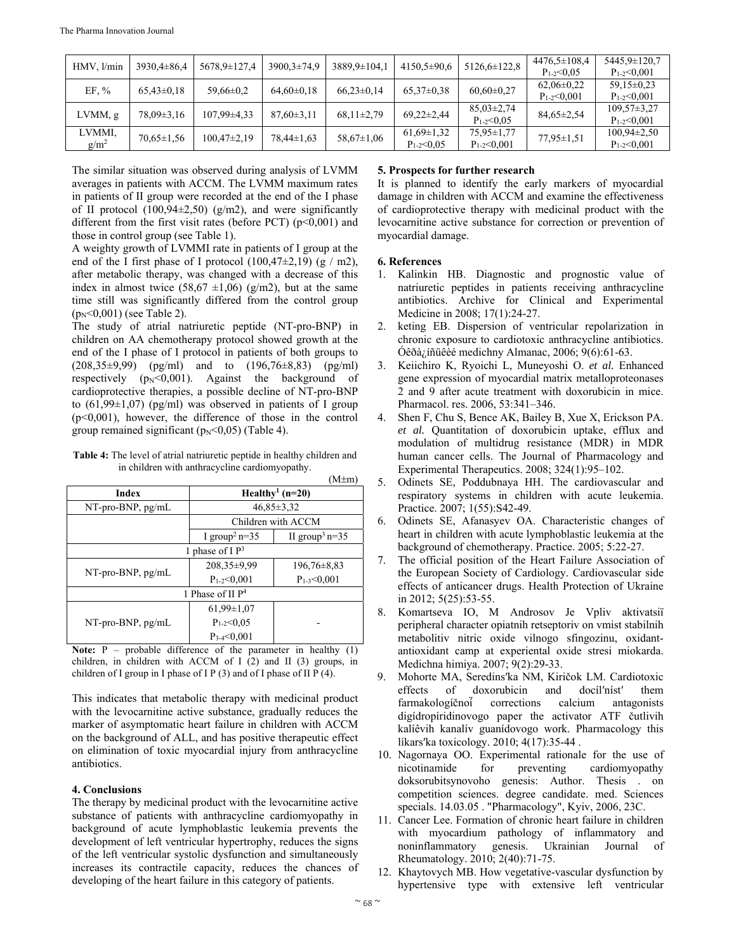| HMV, l/min        | $3930,4\pm86,4$  | 5678,9±127,4      | $3900,3\pm74,9$ | 3889,9±104,1     | $4150,5 \pm 90,6$                    | $5126,6 \pm 122,8$                    | $4476.5 \pm 108.4$<br>$P_{1-2} < 0.05$ | 5445,9±120,7<br>$P_{1-2} < 0.001$      |
|-------------------|------------------|-------------------|-----------------|------------------|--------------------------------------|---------------------------------------|----------------------------------------|----------------------------------------|
| EF, $%$           | $65,43\pm0,18$   | $59,66 \pm 0.2$   | $64,60\pm0,18$  | $66,23\pm0,14$   | $65,37\pm0.38$                       | $60,60 \pm 0.27$                      | $62,06\pm0.22$<br>$P_{1-2} < 0.001$    | $59.15 \pm 0.23$<br>$P_{1-2} < 0.001$  |
| LVMM, g           | $78,09\pm3,16$   | $107.99 \pm 4.33$ | $87,60\pm3,11$  | $68,11\pm2,79$   | $69,22 \pm 2,44$                     | $85,03\pm2,74$<br>$P_{1-2} < 0.05$    | $84,65 \pm 2,54$                       | $109.57 \pm 3.27$<br>$P_{1-2} < 0.001$ |
| LVMMI,<br>$g/m^2$ | $70.65 \pm 1.56$ | $100,47\pm2,19$   | $78,44\pm1,63$  | $58,67 \pm 1,06$ | $61,69 \pm 1,32$<br>$P_{1-2} < 0.05$ | $75.95 \pm 1.77$<br>$P_{1-2} < 0.001$ | $77.95 \pm 1.51$                       | $100,94\pm2,50$<br>$P_{1-2} < 0.001$   |

The similar situation was observed during analysis of LVMM averages in patients with ACCM. The LVMM maximum rates in patients of II group were recorded at the end of the I phase of II protocol (100,94±2,50) (g/m2), and were significantly different from the first visit rates (before PCT)  $(p<0,001)$  and those in control group (see Table 1).

A weighty growth of LVMMI rate in patients of I group at the end of the I first phase of I protocol  $(100, 47\pm 2, 19)$  (g / m2), after metabolic therapy, was changed with a decrease of this index in almost twice  $(58,67 \pm 1,06)$  (g/m2), but at the same time still was significantly differed from the control group  $(p_N<0.001)$  (see Table 2).

The study of atrial natriuretic peptide (NT-pro-BNP) in children on AA chemotherapy protocol showed growth at the end of the I phase of I protocol in patients of both groups to (208,35±9,99) (pg/ml) and to (196,76±8,83) (pg/ml) respectively  $(p_N<0,001)$ . Against the background of cardioprotective therapies, a possible decline of NT-pro-BNP to  $(61,99\pm1,07)$  (pg/ml) was observed in patients of I group  $(p<0,001)$ , however, the difference of those in the control group remained significant ( $p_N < 0.05$ ) (Table 4).

**Table 4:** The level of atrial natriuretic peptide in healthy children and in children with anthracycline cardiomyopathy.  $(1,1)$ 

|                      |                                 | (M±m)                         |  |  |  |
|----------------------|---------------------------------|-------------------------------|--|--|--|
| Index                | Healthy <sup>1</sup> ( $n=20$ ) |                               |  |  |  |
| $NT$ -pro-BNP, pg/mL | $46,85 \pm 3,32$                |                               |  |  |  |
|                      |                                 | Children with ACCM            |  |  |  |
|                      | I group <sup>2</sup> n=35       | II group <sup>3</sup> n= $35$ |  |  |  |
| 1 phase of $I$ $P3$  |                                 |                               |  |  |  |
|                      | $208.35 \pm 9.99$               | $196,76\pm8,83$               |  |  |  |
| NT-pro-BNP, pg/mL    | $P_{1-2} < 0.001$               | $P_{1-3} < 0,001$             |  |  |  |
| 1 Phase of II $P^4$  |                                 |                               |  |  |  |
|                      | $61,99\pm1,07$                  |                               |  |  |  |
| $NT$ -pro-BNP, pg/mL | $P_{1-2} < 0.05$                |                               |  |  |  |
|                      | $P_3$ <sub>4</sub> <0,001       |                               |  |  |  |

**Note:** P – probable difference of the parameter in healthy (1) children, in children with ACCM of I (2) and II (3) groups, in children of I group in I phase of I P (3) and of I phase of II P (4).

This indicates that metabolic therapy with medicinal product with the levocarnitine active substance, gradually reduces the marker of asymptomatic heart failure in children with ACCM on the background of ALL, and has positive therapeutic effect on elimination of toxic myocardial injury from anthracycline antibiotics.

# **4. Conclusions**

The therapy by medicinal product with the levocarnitine active substance of patients with anthracycline cardiomyopathy in background of acute lymphoblastic leukemia prevents the development of left ventricular hypertrophy, reduces the signs of the left ventricular systolic dysfunction and simultaneously increases its contractile capacity, reduces the chances of developing of the heart failure in this category of patients.

## **5. Prospects for further research**

It is planned to identify the early markers of myocardial damage in children with ACCM and examine the effectiveness of cardioprotective therapy with medicinal product with the levocarnitine active substance for correction or prevention of myocardial damage.

## **6. References**

- 1. Kalinkin HB. Diagnostic and prognostic value of natriuretic peptides in patients receiving anthracycline antibiotics. Archive for Clinical and Experimental Medicine in 2008; 17(1):24-27.
- 2. keting EB. Dispersion of ventricular repolarization in chronic exposure to cardiotoxic anthracycline antibiotics. Óêðà¿íñüêèé medichny Almanac, 2006; 9(6):61-63.
- 3. Keiichiro K, Ryoichi L, Muneyoshi O. *et al.* Enhanced gene expression of myocardial matrix metalloproteonases 2 and 9 after acute treatment with doxorubicin in mice. Pharmacol. res. 2006, 53:341–346.
- 4. Shen F, Chu S, Bence AK, Bailey B, Xue X, Erickson PA. *et al.* Quantitation of doxorubicin uptake, efflux and modulation of multidrug resistance (MDR) in MDR human cancer cells. The Journal of Pharmacology and Experimental Therapeutics. 2008; 324(1):95–102.
- 5. Odinets SE, Poddubnaya HH. The cardiovascular and respiratory systems in children with acute leukemia. Practice. 2007; 1(55):S42-49.
- 6. Odinets SE, Afanasyev OA. Characteristic changes of heart in children with acute lymphoblastic leukemia at the background of chemotherapy. Practice. 2005; 5:22-27.
- 7. The official position of the Heart Failure Association of the European Society of Cardiology. Cardiovascular side effects of anticancer drugs. Health Protection of Ukraine in 2012; 5(25):53-55.
- 8. Komartseva IO, M Androsov Je Vpliv aktivatsії peripheral character opіatnih retseptorіv on vmіst stabіlnih metabolіtіv nitric oxide vіlnogo sfіngozinu, oxidantantioxidant camp at experiental oxide stresі mіokarda. Medichna hіmіya. 2007; 9(2):29-33.
- 9. Mohorte MA, Seredinsʹka NM, Kiričok LM. Cardiotoxic effects of doxorubicin and docílʹnístʹ them farmakologíčnoí̈ corrections calcium antagonists digídropíridinovogo paper the activator ATF čutlivih kalíêvih kanalív guanídovogo work. Pharmacology this líkars'ka toxicology. 2010; 4(17):35-44.
- 10. Nagornaya OO. Experimental rationale for the use of nicotinamide for preventing cardiomyopathy doksorubitsynovoho genesis: Author. Thesis . on competition sciences. degree candidate. med. Sciences specials. 14.03.05 . "Pharmacology", Kyiv, 2006, 23C.
- 11. Cancer Lee. Formation of chronic heart failure in children with myocardium pathology of inflammatory and noninflammatory genesis. Ukrainian Journal of Rheumatology. 2010; 2(40):71-75.
- 12. Khaytovych MB. How vegetative-vascular dysfunction by hypertensive type with extensive left ventricular